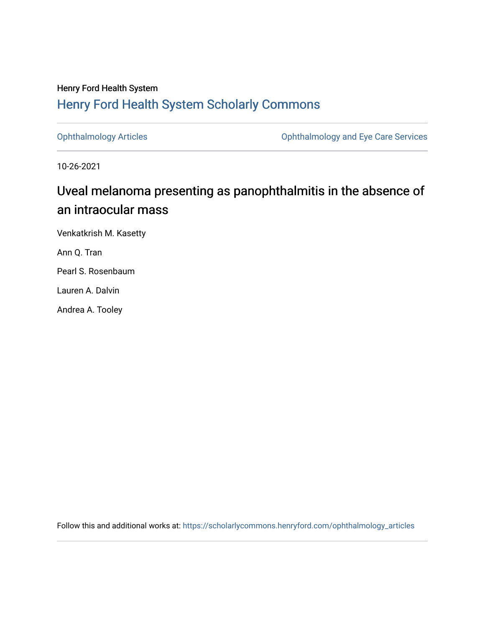### Henry Ford Health System [Henry Ford Health System Scholarly Commons](https://scholarlycommons.henryford.com/)

[Ophthalmology Articles](https://scholarlycommons.henryford.com/ophthalmology_articles) [Ophthalmology and Eye Care Services](https://scholarlycommons.henryford.com/ophthalmology) 

10-26-2021

# Uveal melanoma presenting as panophthalmitis in the absence of an intraocular mass

Venkatkrish M. Kasetty

Ann Q. Tran

Pearl S. Rosenbaum

Lauren A. Dalvin

Andrea A. Tooley

Follow this and additional works at: [https://scholarlycommons.henryford.com/ophthalmology\\_articles](https://scholarlycommons.henryford.com/ophthalmology_articles?utm_source=scholarlycommons.henryford.com%2Fophthalmology_articles%2F67&utm_medium=PDF&utm_campaign=PDFCoverPages)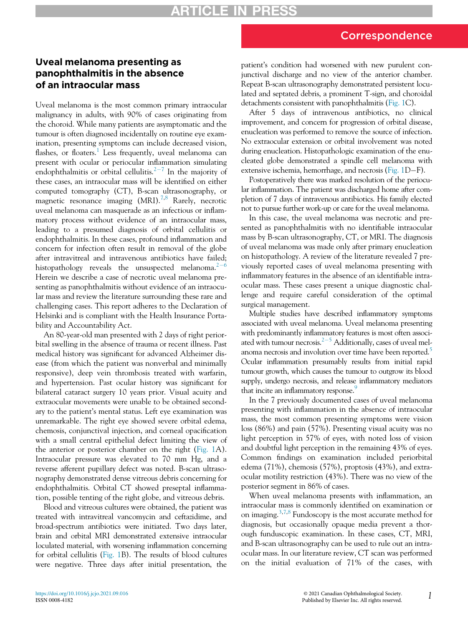### Correspondence

## Uveal melanoma presenting as of an intraocular mass

Uveal melanoma is the most common primary intraocular malignancy in adults, with 90% of cases originating from the choroid. While many patients are asymptomatic and the tumour is often diagnosed incidentally on routine eye examination, presenting symptoms can include decreased vision, flashes, or floaters.<sup>[1](#page-3-0)</sup> Less frequently, uveal melanoma can present with ocular or periocular inflammation simulating endophthalmitis or orbital cellulitis. $2-7$  $2-7$  $2-7$  In the majority of these cases, an intraocular mass will be identified on either computed tomography (CT), B-scan ultrasonography, or magnetic resonance imaging  $(MRI).^{7,8}$  $(MRI).^{7,8}$  $(MRI).^{7,8}$  $(MRI).^{7,8}$  Rarely, necrotic uveal melanoma can masquerade as an infectious or inflammatory process without evidence of an intraocular mass, leading to a presumed diagnosis of orbital cellulitis or endophthalmitis. In these cases, profound inflammation and concern for infection often result in removal of the globe after intravitreal and intravenous antibiotics have failed; histopathology reveals the unsuspected melanoma. $2^{-6}$  $2^{-6}$  $2^{-6}$  $2^{-6}$ Herein we describe a case of necrotic uveal melanoma presenting as panophthalmitis without evidence of an intraocular mass and review the literature surrounding these rare and challenging cases. This report adheres to the Declaration of Helsinki and is compliant with the Health Insurance Portability and Accountability Act.

An 80-year-old man presented with 2 days of right periorbital swelling in the absence of trauma or recent illness. Past medical history was significant for advanced Alzheimer disease (from which the patient was nonverbal and minimally responsive), deep vein thrombosis treated with warfarin, and hypertension. Past ocular history was significant for bilateral cataract surgery 10 years prior. Visual acuity and extraocular movements were unable to be obtained secondary to the patient's mental status. Left eye examination was unremarkable. The right eye showed severe orbital edema, chemosis, conjunctival injection, and corneal opacification with a small central epithelial defect limiting the view of the anterior or posterior chamber on the right ([Fig. 1A](#page-2-0)). Intraocular pressure was elevated to 70 mm Hg, and a reverse afferent pupillary defect was noted. B-scan ultrasonography demonstrated dense vitreous debris concerning for endophthalmitis. Orbital CT showed preseptal inflammation, possible tenting of the right globe, and vitreous debris.

Blood and vitreous cultures were obtained, the patient was treated with intravitreal vancomycin and ceftazidime, and broad-spectrum antibiotics were initiated. Two days later, brain and orbital MRI demonstrated extensive intraocular loculated material, with worsening inflammation concerning for orbital cellulitis ([Fig. 1B](#page-2-0)). The results of blood cultures were negative. Three days after initial presentation, the patient's condition had worsened with new purulent conjunctival discharge and no view of the anterior chamber. Repeat B-scan ultrasonography demonstrated persistent loculated and septated debris, a prominent T-sign, and choroidal detachments consistent with panophthalmitis [\(Fig. 1C](#page-2-0)).

After 5 days of intravenous antibiotics, no clinical improvement, and concern for progression of orbital disease, enucleation was performed to remove the source of infection. No extraocular extension or orbital involvement was noted during enucleation. Histopathologic examination of the enucleated globe demonstrated a spindle cell melanoma with extensive ischemia, hemorrhage, and necrosis ([Fig. 1](#page-2-0)D-F).

Postoperatively there was marked resolution of the periocular inflammation. The patient was discharged home after completion of 7 days of intravenous antibiotics. His family elected not to pursue further work-up or care for the uveal melanoma.

In this case, the uveal melanoma was necrotic and presented as panophthalmitis with no identifiable intraocular mass by B-scan ultrasonography, CT, or MRI. The diagnosis of uveal melanoma was made only after primary enucleation on histopathology. A review of the literature revealed 7 previously reported cases of uveal melanoma presenting with inflammatory features in the absence of an identifiable intraocular mass. These cases present a unique diagnostic challenge and require careful consideration of the optimal surgical management.

Multiple studies have described inflammatory symptoms associated with uveal melanoma. Uveal melanoma presenting with predominantly inflammatory features is most often associated with tumour necrosis.<sup> $2-5$  $2-5$ </sup> Additionally, cases of uveal melanoma necrosis and involution over time have been reported.<sup>5</sup> Ocular inflammation presumably results from initial rapid tumour growth, which causes the tumour to outgrow its blood supply, undergo necrosis, and release inflammatory mediators that incite an inflammatory response.<sup>9</sup>

In the 7 previously documented cases of uveal melanoma presenting with inflammation in the absence of intraocular mass, the most common presenting symptoms were vision loss (86%) and pain (57%). Presenting visual acuity was no light perception in 57% of eyes, with noted loss of vision and doubtful light perception in the remaining 43% of eyes. Common findings on examination included periorbital edema (71%), chemosis (57%), proptosis (43%), and extraocular motility restriction (43%). There was no view of the posterior segment in 86% of cases.

When uveal melanoma presents with inflammation, an intraocular mass is commonly identified on examination or on imaging.[3](#page-3-6)[,7,](#page-3-2)[8](#page-3-3) Fundoscopy is the most accurate method for diagnosis, but occasionally opaque media prevent a thorough funduscopic examination. In these cases, CT, MRI, and B-scan ultrasonography can be used to rule out an intraocular mass. In our literature review, CT scan was performed on the initial evaluation of 71% of the cases, with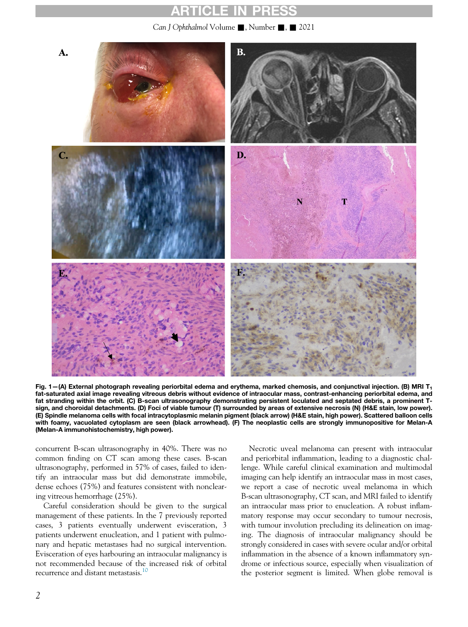### **ARTICLE IN PRE**

Can J Ophthalmol Volume , Number , 2021

<span id="page-2-0"></span>

Fig.  $1-(A)$  External photograph revealing periorbital edema and erythema, marked chemosis, and conjunctival injection. (B) MRI T<sub>1</sub> fat-saturated axial image revealing vitreous debris without evidence of intraocular mass, contrast-enhancing periorbital edema, and fat stranding within the orbit. (C) B-scan ultrasonography demonstrating persistent loculated and septated debris, a prominent Tsign, and choroidal detachments. (D) Foci of viable tumour (T) surrounded by areas of extensive necrosis (N) (H&E stain, low power). (E) Spindle melanoma cells with focal intracytoplasmic melanin pigment (black arrow) (H&E stain, high power). Scattered balloon cells with foamy, vacuolated cytoplasm are seen (black arrowhead). (F) The neoplastic cells are strongly immunopositive for Melan-A (Melan-A immunohistochemistry, high power).

concurrent B-scan ultrasonography in 40%. There was no common finding on CT scan among these cases. B-scan ultrasonography, performed in 57% of cases, failed to identify an intraocular mass but did demonstrate immobile, dense echoes (75%) and features consistent with nonclearing vitreous hemorrhage (25%).

Careful consideration should be given to the surgical management of these patients. In the 7 previously reported cases, 3 patients eventually underwent evisceration, 3 patients underwent enucleation, and 1 patient with pulmonary and hepatic metastases had no surgical intervention. Evisceration of eyes harbouring an intraocular malignancy is not recommended because of the increased risk of orbital recurrence and distant metastasis.[10](#page-3-7)

Necrotic uveal melanoma can present with intraocular and periorbital inflammation, leading to a diagnostic challenge. While careful clinical examination and multimodal imaging can help identify an intraocular mass in most cases, we report a case of necrotic uveal melanoma in which B-scan ultrasonography, CT scan, and MRI failed to identify an intraocular mass prior to enucleation. A robust inflammatory response may occur secondary to tumour necrosis, with tumour involution precluding its delineation on imaging. The diagnosis of intraocular malignancy should be strongly considered in cases with severe ocular and/or orbital inflammation in the absence of a known inflammatory syndrome or infectious source, especially when visualization of the posterior segment is limited. When globe removal is